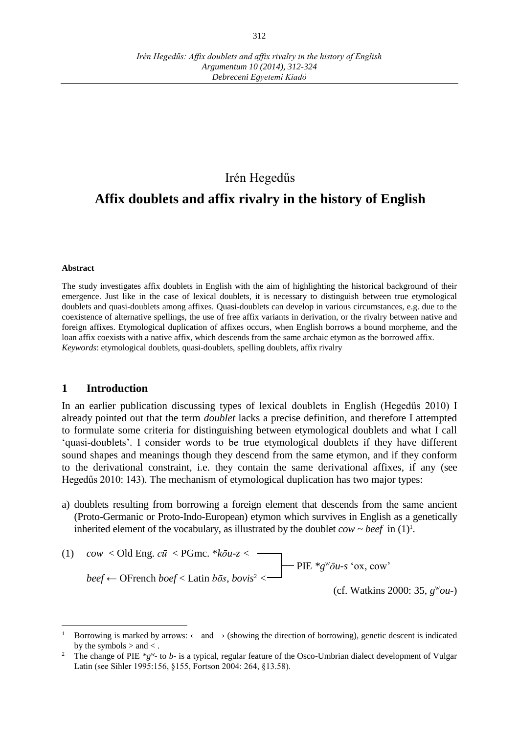# Irén Hegedűs

# **Affix doublets and affix rivalry in the history of English**

#### **Abstract**

 $\overline{a}$ 

The study investigates affix doublets in English with the aim of highlighting the historical background of their emergence. Just like in the case of lexical doublets, it is necessary to distinguish between true etymological doublets and quasi-doublets among affixes. Quasi-doublets can develop in various circumstances, e.g. due to the coexistence of alternative spellings, the use of free affix variants in derivation, or the rivalry between native and foreign affixes. Etymological duplication of affixes occurs, when English borrows a bound morpheme, and the loan affix coexists with a native affix, which descends from the same archaic etymon as the borrowed affix. *Keywords*: etymological doublets, quasi-doublets, spelling doublets, affix rivalry

#### **1 Introduction**

In an earlier publication discussing types of lexical doublets in English (Hegedűs 2010) I already pointed out that the term *doublet* lacks a precise definition, and therefore I attempted to formulate some criteria for distinguishing between etymological doublets and what I call 'quasi-doublets'. I consider words to be true etymological doublets if they have different sound shapes and meanings though they descend from the same etymon, and if they conform to the derivational constraint, i.e. they contain the same derivational affixes, if any (see Hegedűs 2010: 143). The mechanism of etymological duplication has two major types:

- a) doublets resulting from borrowing a foreign element that descends from the same ancient (Proto-Germanic or Proto-Indo-European) etymon which survives in English as a genetically inherited element of the vocabulary, as illustrated by the doublet  $\cos \theta \sim \cos f$  in (1)<sup>1</sup>.
- (1)  $\cos \theta < \text{Old Eng. cū} < \text{PGmc. *} \kappa \bar{\omega} u z < \theta$ PIE *\*g<sup>w</sup> ōu-s* 'ox, cow' *beef* ← OFrench *boef* < Latin *bōs*, *bovis*<sup>2</sup> *<* (cf. Watkins 2000: 35, *g w ou-*)

Borrowing is marked by arrows:  $\leftarrow$  and  $\rightarrow$  (showing the direction of borrowing), genetic descent is indicated by the symbols  $>$  and  $<$ .

<sup>&</sup>lt;sup>2</sup> The change of PIE  $*g^w$ - to *b*- is a typical, regular feature of the Osco-Umbrian dialect development of Vulgar Latin (see Sihler 1995:156, §155, Fortson 2004: 264, §13.58).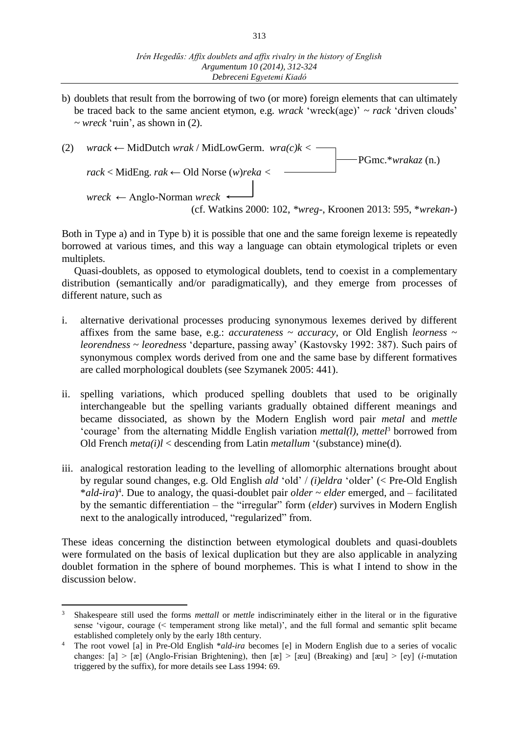b) doublets that result from the borrowing of two (or more) foreign elements that can ultimately be traced back to the same ancient etymon, e.g. *wrack* 'wreck(age)' *~ rack* 'driven clouds' *~ wreck* 'ruin', as shown in (2).

(2) *wrack* ← MidDutch *wrak* / MidLowGerm. 
$$
wra(c)k < \neg
$$
 PGmc. \**wrakaz* (n.)

\n*rack* < MidEng. *rak* ← Old Norse (*w*)*reka* <  $\neg$  PGmc. \**wrakaz* (n.)

\n*wreck* ← Anglo-Norman *wreck* ← (cf. Watkins 2000: 102, \**wreg*-, Kroonen 2013: 595, \**wrekan*.)

Both in Type a) and in Type b) it is possible that one and the same foreign lexeme is repeatedly borrowed at various times, and this way a language can obtain etymological triplets or even multiplets.

Quasi-doublets, as opposed to etymological doublets, tend to coexist in a complementary distribution (semantically and/or paradigmatically), and they emerge from processes of different nature, such as

- i. alternative derivational processes producing synonymous lexemes derived by different affixes from the same base, e.g.: *accurateness* ~ *accuracy*, or Old English *leorness* ~ *leorendness* ~ *leoredness* 'departure, passing away' (Kastovsky 1992: 387). Such pairs of synonymous complex words derived from one and the same base by different formatives are called morphological doublets (see Szymanek 2005: 441).
- ii. spelling variations, which produced spelling doublets that used to be originally interchangeable but the spelling variants gradually obtained different meanings and became dissociated, as shown by the Modern English word pair *metal* and *mettle*  'courage' from the alternating Middle English variation *mettal(l)*, *mettel*<sup>3</sup> borrowed from Old French *meta(i)l* < descending from Latin *metallum* '(substance) mine(d).
- iii. analogical restoration leading to the levelling of allomorphic alternations brought about by regular sound changes, e.g. Old English *ald* 'old' / *(i)eldra* 'older' (< Pre-Old English \**ald*-*ira*) 4 . Due to analogy, the quasi-doublet pair *older* ~ *elder* emerged, and – facilitated by the semantic differentiation – the "irregular" form (*elder*) survives in Modern English next to the analogically introduced, "regularized" from.

These ideas concerning the distinction between etymological doublets and quasi-doublets were formulated on the basis of lexical duplication but they are also applicable in analyzing doublet formation in the sphere of bound morphemes. This is what I intend to show in the discussion below.

 $\overline{a}$ 

<sup>3</sup> Shakespeare still used the forms *mettall* or *mettle* indiscriminately either in the literal or in the figurative sense 'vigour, courage (< temperament strong like metal)', and the full formal and semantic split became established completely only by the early 18th century.

<sup>4</sup> The root vowel [a] in Pre-Old English \**ald*-*ira* becomes [e] in Modern English due to a series of vocalic changes: [a] > [æ] (Anglo-Frisian Brightening), then [æ] > [æu] (Breaking) and [æu] > [ey] (*i*-mutation triggered by the suffix), for more details see Lass 1994: 69.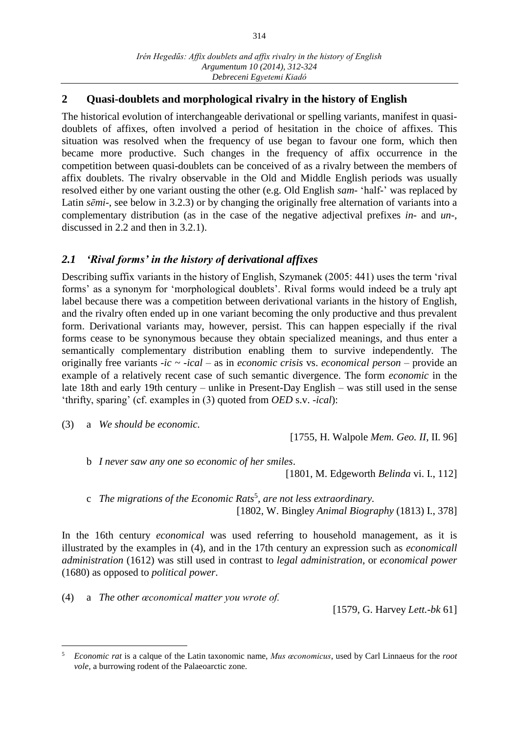# **2 Quasi-doublets and morphological rivalry in the history of English**

The historical evolution of interchangeable derivational or spelling variants, manifest in quasidoublets of affixes, often involved a period of hesitation in the choice of affixes. This situation was resolved when the frequency of use began to favour one form, which then became more productive. Such changes in the frequency of affix occurrence in the competition between quasi-doublets can be conceived of as a rivalry between the members of affix doublets. The rivalry observable in the Old and Middle English periods was usually resolved either by one variant ousting the other (e.g. Old English *sam-* 'half-' was replaced by Latin *sēmi-*, see below in 3.2.3) or by changing the originally free alternation of variants into a complementary distribution (as in the case of the negative adjectival prefixes *in-* and *un-*, discussed in 2.2 and then in 3.2.1).

# *2.1 'Rival forms' in the history of derivational affixes*

Describing suffix variants in the history of English, Szymanek (2005: 441) uses the term 'rival forms' as a synonym for 'morphological doublets'. Rival forms would indeed be a truly apt label because there was a competition between derivational variants in the history of English, and the rivalry often ended up in one variant becoming the only productive and thus prevalent form. Derivational variants may, however, persist. This can happen especially if the rival forms cease to be synonymous because they obtain specialized meanings, and thus enter a semantically complementary distribution enabling them to survive independently. The originally free variants *-ic* ~ *-ical* – as in *economic crisis* vs. *economical person* – provide an example of a relatively recent case of such semantic divergence. The form *economic* in the late 18th and early 19th century – unlike in Present-Day English – was still used in the sense 'thrifty, sparing' (cf. examples in (3) quoted from *OED* s.v. -*ical*):

(3) a *We should be economic.*

 $\overline{a}$ 

[1755, H. Walpole *Mem. Geo. II*, II. 96]

b *I never saw any one so economic of her smiles*.

[1801, M. Edgeworth *Belinda* vi. I., 112]

c *The migrations of the Economic Rats*<sup>5</sup> *, are not less extraordinary.*  [1802, W. Bingley *Animal Biography* (1813) I., 378]

In the 16th century *economical* was used referring to household management, as it is illustrated by the examples in (4), and in the 17th century an expression such as *economicall administration* (1612) was still used in contrast to *legal administration*, or *economical power*  (1680) as opposed to *political power*.

(4) a *The other œconomical matter you wrote of.*

[1579, G. Harvey *Lett.-bk* 61]

<sup>5</sup> *Economic rat* is a calque of the Latin taxonomic name, *Mus œconomicus*, used by Carl Linnaeus for the *root vole*, a burrowing rodent of the Palaeoarctic zone.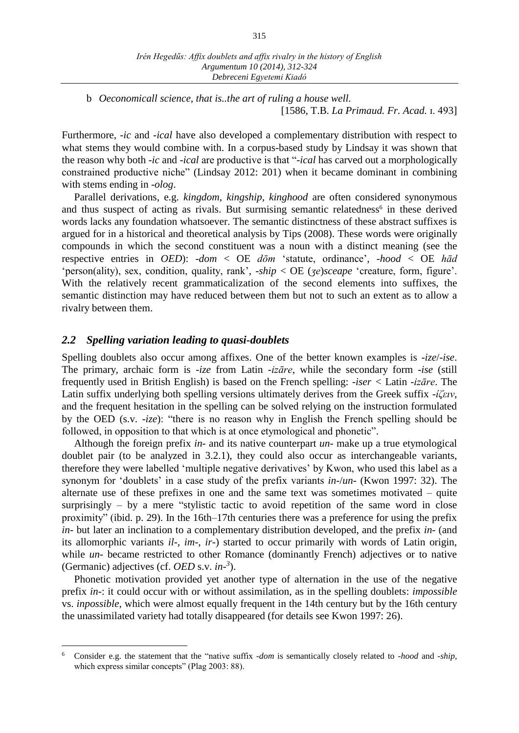b *Oeconomicall science, that is..the art of ruling a house well.*  [1586, T.B. *La Primaud. Fr. Acad.* ɪ. 493]

Furthermore, *-ic* and *-ical* have also developed a complementary distribution with respect to what stems they would combine with. In a corpus-based study by Lindsay it was shown that the reason why both *-ic* and *-ical* are productive is that "-*ical* has carved out a morphologically constrained productive niche" (Lindsay 2012: 201) when it became dominant in combining with stems ending in -*olog*.

Parallel derivations, e.g. *kingdom*, *kingship*, *kinghood* are often considered synonymous and thus suspect of acting as rivals. But surmising semantic relatedness<sup>6</sup> in these derived words lacks any foundation whatsoever. The semantic distinctness of these abstract suffixes is argued for in a historical and theoretical analysis by Tips (2008). These words were originally compounds in which the second constituent was a noun with a distinct meaning (see the respective entries in *OED*): -*dom* < OE *dōm* 'statute, ordinance', -*hood* < OE *hād*  'person(ality), sex, condition, quality, rank', -*ship* < OE (*ʒe*)*sceape* 'creature, form, figure'. With the relatively recent grammaticalization of the second elements into suffixes, the semantic distinction may have reduced between them but not to such an extent as to allow a rivalry between them.

#### *2.2 Spelling variation leading to quasi-doublets*

 $\overline{a}$ 

Spelling doublets also occur among affixes. One of the better known examples is *-ize*/*-ise*. The primary, archaic form is *-ize* from Latin *-izāre*, while the secondary form *-ise* (still frequently used in British English) is based on the French spelling: *-iser <* Latin *-izāre*. The Latin suffix underlying both spelling versions ultimately derives from the Greek suffix *-ίζειν*, and the frequent hesitation in the spelling can be solved relying on the instruction formulated by the OED (s.v. -*ize*): "there is no reason why in English the French spelling should be followed, in opposition to that which is at once etymological and phonetic".

Although the foreign prefix *in-* and its native counterpart *un-* make up a true etymological doublet pair (to be analyzed in 3.2.1), they could also occur as interchangeable variants, therefore they were labelled 'multiple negative derivatives' by Kwon, who used this label as a synonym for 'doublets' in a case study of the prefix variants *in-*/*un-* (Kwon 1997: 32). The alternate use of these prefixes in one and the same text was sometimes motivated – quite surprisingly – by a mere "stylistic tactic to avoid repetition of the same word in close proximity" (ibid. p. 29). In the 16th–17th centuries there was a preference for using the prefix *in-* but later an inclination to a complementary distribution developed, and the prefix *in-* (and its allomorphic variants *il-*, *im-*, *ir-*) started to occur primarily with words of Latin origin, while *un*- became restricted to other Romance (dominantly French) adjectives or to native (Germanic) adjectives (cf. *OED* s.v. *in-3* ).

Phonetic motivation provided yet another type of alternation in the use of the negative prefix *in-*: it could occur with or without assimilation, as in the spelling doublets: *impossible*  vs. *inpossible*, which were almost equally frequent in the 14th century but by the 16th century the unassimilated variety had totally disappeared (for details see Kwon 1997: 26).

<sup>6</sup> Consider e.g. the statement that the "native suffix *-dom* is semantically closely related to *-hood* and *-ship*, which express similar concepts" (Plag 2003: 88).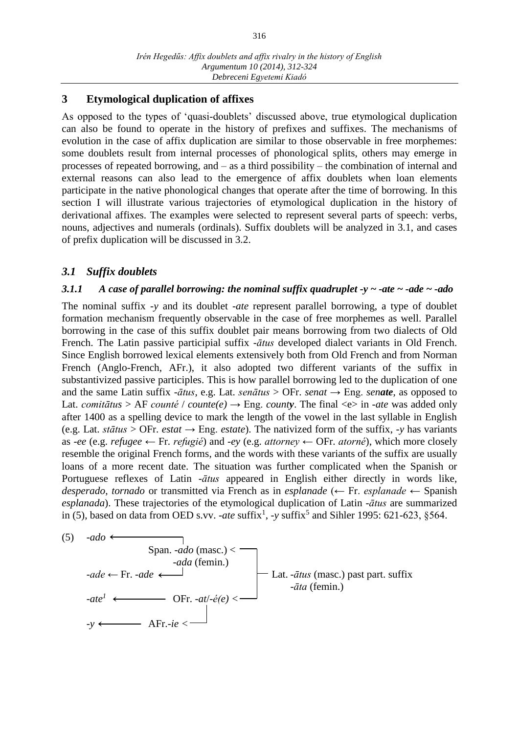## **3 Etymological duplication of affixes**

As opposed to the types of 'quasi-doublets' discussed above, true etymological duplication can also be found to operate in the history of prefixes and suffixes. The mechanisms of evolution in the case of affix duplication are similar to those observable in free morphemes: some doublets result from internal processes of phonological splits, others may emerge in processes of repeated borrowing, and – as a third possibility – the combination of internal and external reasons can also lead to the emergence of affix doublets when loan elements participate in the native phonological changes that operate after the time of borrowing. In this section I will illustrate various trajectories of etymological duplication in the history of derivational affixes. The examples were selected to represent several parts of speech: verbs, nouns, adjectives and numerals (ordinals). Suffix doublets will be analyzed in 3.1, and cases of prefix duplication will be discussed in 3.2.

# *3.1 Suffix doublets*

### *3.1.1 A case of parallel borrowing: the nominal suffix quadruplet -y ~ -ate ~ -ade ~ -ado*

The nominal suffix *-y* and its doublet *-ate* represent parallel borrowing, a type of doublet formation mechanism frequently observable in the case of free morphemes as well. Parallel borrowing in the case of this suffix doublet pair means borrowing from two dialects of Old French. The Latin passive participial suffix *-ātus* developed dialect variants in Old French. Since English borrowed lexical elements extensively both from Old French and from Norman French (Anglo-French, AFr.), it also adopted two different variants of the suffix in substantivized passive participles. This is how parallel borrowing led to the duplication of one and the same Latin suffix *-ātus*, e.g. Lat. *senātus* > OFr. *senat*  $\rightarrow$  Eng. *senate*, as opposed to Lat. *comitatus* > AF *counté* / *counte*(*e*)  $\rightarrow$  Eng. *county*. The final <e> in -*ate* was added only after 1400 as a spelling device to mark the length of the vowel in the last syllable in English (e.g. Lat. *stātus* > OFr. *estat*  $\rightarrow$  Eng. *estate*). The nativized form of the suffix,  $\neg$  has variants as *-ee* (e.g. *refugee* ← Fr. *refugié*) and -*ey* (e.g. *attorney ←* OFr. *atorné*), which more closely resemble the original French forms, and the words with these variants of the suffix are usually loans of a more recent date. The situation was further complicated when the Spanish or Portuguese reflexes of Latin *-ātus* appeared in English either directly in words like, *desperado*, *tornado* or transmitted via French as in *esplanade* (← Fr. *esplanade ←* Spanish *esplanada*). These trajectories of the etymological duplication of Latin *-ātus* are summarized in (5), based on data from OED s.vv. *-ate* suffix<sup>1</sup>, *-y* suffix<sup>5</sup> and Sihler 1995: 621-623, §564.

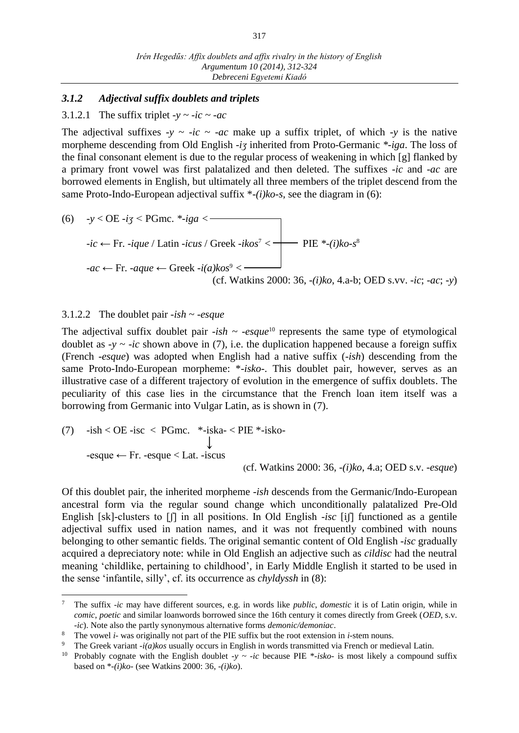#### *3.1.2 Adjectival suffix doublets and triplets*

#### 3.1.2.1 The suffix triplet  $-y \sim -ic \sim -ac$

The adjectival suffixes  $-y \sim -ic \sim -ac$  make up a suffix triplet, of which  $-y$  is the native morpheme descending from Old English *-iʒ* inherited from Proto-Germanic *\*-iga*. The loss of the final consonant element is due to the regular process of weakening in which [g] flanked by a primary front vowel was first palatalized and then deleted. The suffixes *-ic* and *-ac* are borrowed elements in English, but ultimately all three members of the triplet descend from the same Proto-Indo-European adjectival suffix \**-(i)ko-s*, see the diagram in (6):

\n- (6) 
$$
-y < \text{OE } -i\zeta < \text{PGmc. *-iga} < \text{---}
$$
\n- $-ic \leftarrow \text{Fr. -ique / Latin -icus / Greek -ikos²} < \text{-- } \text{PIE *-(i)} \times o -s^8$
\n- $-ac \leftarrow \text{Fr. -aque} \leftarrow \text{Greek -i}(a) \times s^9 < \text{--- } \text{--- } \text{CT. Watkins } 2000: 36, -(i) \times o, 4.a-b; \text{OED s.vv. -ic};$
\n

#### 3.1.2.2 The doublet pair -*ish* ~ -*esque*

 $\overline{a}$ 

The adjectival suffix doublet pair *-ish ~ -esque*<sup>10</sup> represents the same type of etymological doublet as  $-y \sim -ic$  shown above in (7), i.e. the duplication happened because a foreign suffix (French *-esque*) was adopted when English had a native suffix (*-ish*) descending from the same Proto-Indo-European morpheme: \**-isko-*. This doublet pair, however, serves as an illustrative case of a different trajectory of evolution in the emergence of suffix doublets. The peculiarity of this case lies in the circumstance that the French loan item itself was a borrowing from Germanic into Vulgar Latin, as is shown in (7).

 $-ac$ ; *-y*)

(7) 
$$
-ish < OE - isc < PGmc.
$$
 \* - iska < PIE \* - isko-

\n−-esque ← Fr. -esque < Lat. -iscus

\n(cf. Watkins 2000: 36, -(i)ko, 4.a; OED s.v. -esque)

Of this doublet pair, the inherited morpheme *-ish* descends from the Germanic/Indo-European ancestral form via the regular sound change which unconditionally palatalized Pre-Old English [sk]-clusters to [ʃ] in all positions. In Old English *-isc* [iʃ] functioned as a gentile adjectival suffix used in nation names, and it was not frequently combined with nouns belonging to other semantic fields. The original semantic content of Old English *-isc* gradually acquired a depreciatory note: while in Old English an adjective such as *cildisc* had the neutral meaning 'childlike, pertaining to childhood', in Early Middle English it started to be used in the sense 'infantile, silly', cf. its occurrence as *chyldyssh* in (8):

<sup>7</sup> The suffix -*ic* may have different sources, e.g. in words like *public*, *domestic* it is of Latin origin, while in *comic*, *poetic* and similar loanwords borrowed since the 16th century it comes directly from Greek (*OED*, s.v. *-ic*). Note also the partly synonymous alternative forms *demonic/demoniac*.

<sup>&</sup>lt;sup>8</sup> The vowel *i*- was originally not part of the PIE suffix but the root extension in *i*-stem nouns.<br><sup>9</sup> The Grook variant, *i(a)log* usually occurs in English in words transmitted via Franch or mod

<sup>9</sup> The Greek variant *-i(a)kos* usually occurs in English in words transmitted via French or medieval Latin.

<sup>10</sup> Probably cognate with the English doublet *-y ~ -ic* because PIE \**-isko-* is most likely a compound suffix based on \**-(i)ko-* (see Watkins 2000: 36, -*(i)ko*).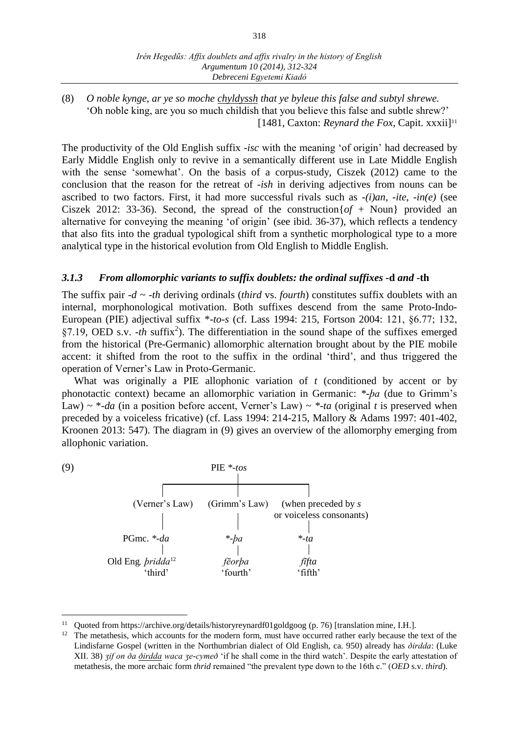(8) *O noble kynge, ar ye so moche chyldyssh that ye byleue this false and subtyl shrewe.* 'Oh noble king, are you so much childish that you believe this false and subtle shrew?' [1481, Caxton: *Reynard the Fox*, Capit. xxxii] 11

The productivity of the Old English suffix *-isc* with the meaning 'of origin' had decreased by Early Middle English only to revive in a semantically different use in Late Middle English with the sense 'somewhat'. On the basis of a corpus-study, Ciszek (2012) came to the conclusion that the reason for the retreat of *-ish* in deriving adjectives from nouns can be ascribed to two factors. First, it had more successful rivals such as *-(i)an*, *-ite*, *-in(e)* (see Ciszek 2012: 33-36). Second, the spread of the construction  $\{of + Noun\}$  provided an alternative for conveying the meaning 'of origin' (see ibid. 36-37), which reflects a tendency that also fits into the gradual typological shift from a synthetic morphological type to a more analytical type in the historical evolution from Old English to Middle English.

#### *3.1.3 From allomorphic variants to suffix doublets: the ordinal suffixes* **-d** *and* **-th**

The suffix pair *-d* ~ *-th* deriving ordinals (*third* vs. *fourth*) constitutes suffix doublets with an internal, morphonological motivation. Both suffixes descend from the same Proto-Indo-European (PIE) adjectival suffix \**-to-s* (cf. Lass 1994: 215, Fortson 2004: 121, §6.77; 132, §7.19, OED s.v. *-th* suffix<sup>2</sup> ). The differentiation in the sound shape of the suffixes emerged from the historical (Pre-Germanic) allomorphic alternation brought about by the PIE mobile accent: it shifted from the root to the suffix in the ordinal 'third', and thus triggered the operation of Verner's Law in Proto-Germanic.

What was originally a PIE allophonic variation of *t* (conditioned by accent or by phonotactic context) became an allomorphic variation in Germanic: *\*-þa* (due to Grimm's Law)  $\sim$  \*-*da* (in a position before accent, Verner's Law)  $\sim$  \*-*ta* (original *t* is preserved when preceded by a voiceless fricative) (cf. Lass 1994: 214-215, Mallory & Adams 1997: 401-402, Kroonen 2013: 547). The diagram in (9) gives an overview of the allomorphy emerging from allophonic variation.



<sup>&</sup>lt;sup>11</sup> Quoted from https://archive.org/details/historyreynardf01goldgoog (p. 76) [translation mine, I.H.].<br><sup>12</sup> The metathesis which accounts for the modern form, must have occurred rather early because the

 $\overline{a}$ 

The metathesis, which accounts for the modern form, must have occurred rather early because the text of the Lindisfarne Gospel (written in the Northumbrian dialect of Old English, ca. 950) already has *ðirdda*: (Luke XII. 38) *ʒif on ða ðirdda waca ʒe-cymeð* 'if he shall come in the third watch'. Despite the early attestation of metathesis, the more archaic form *thrid* remained "the prevalent type down to the 16th c." (*OED* s.v. *third*).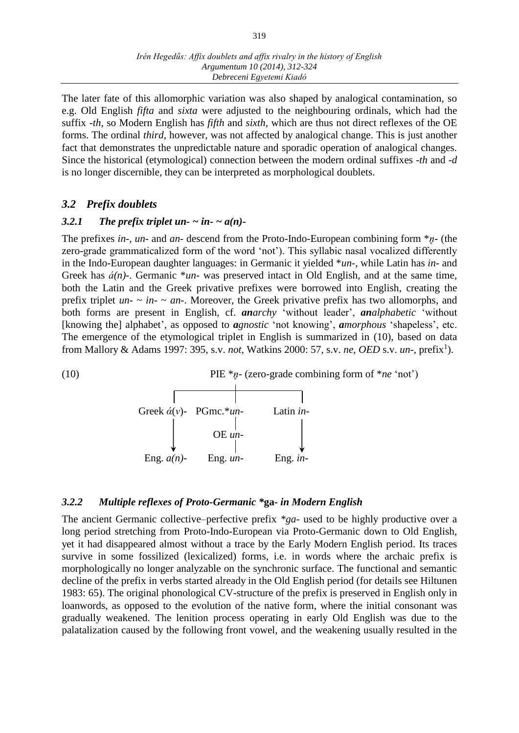The later fate of this allomorphic variation was also shaped by analogical contamination, so e.g. Old English *fifta* and *sixta* were adjusted to the neighbouring ordinals, which had the suffix -*th*, so Modern English has *fifth* and *sixth*, which are thus not direct reflexes of the OE forms. The ordinal *third*, however, was not affected by analogical change. This is just another fact that demonstrates the unpredictable nature and sporadic operation of analogical changes. Since the historical (etymological) connection between the modern ordinal suffixes *-th* and *-d*  is no longer discernible, they can be interpreted as morphological doublets.

### *3.2 Prefix doublets*

#### 3.2.1 *The prefix triplet un-*  $\sim$  *in-* $\sim$  *a*(*n*)-

The prefixes *in-*, *un-* and *an-* descend from the Proto-Indo-European combining form \**n̥-* (the zero-grade grammaticalized form of the word 'not'). This syllabic nasal vocalized differently in the Indo-European daughter languages: in Germanic it yielded \**un-*, while Latin has *in-* and Greek has  $\acute{a}(n)$ -. Germanic \**un*- was preserved intact in Old English, and at the same time, both the Latin and the Greek privative prefixes were borrowed into English, creating the prefix triplet  $un - \frac{1}{n}$  ~  $an - \frac{1}{n}$ . Moreover, the Greek privative prefix has two allomorphs, and both forms are present in English, cf. *anarchy* 'without leader', *analphabetic* 'without [knowing the] alphabet', as opposed to *agnostic* 'not knowing', *amorphous* 'shapeless', etc. The emergence of the etymological triplet in English is summarized in (10), based on data from Mallory & Adams 1997: 395, s.v. *not*, Watkins 2000: 57, s.v. *ne*, *OED* s.v. *un-*, prefix<sup>1</sup> ).



#### *3.2.2 Multiple reflexes of Proto-Germanic \****ga***- in Modern English*

The ancient Germanic collective–perfective prefix *\*ga-* used to be highly productive over a long period stretching from Proto-Indo-European via Proto-Germanic down to Old English, yet it had disappeared almost without a trace by the Early Modern English period. Its traces survive in some fossilized (lexicalized) forms, i.e. in words where the archaic prefix is morphologically no longer analyzable on the synchronic surface. The functional and semantic decline of the prefix in verbs started already in the Old English period (for details see Hiltunen 1983: 65). The original phonological CV-structure of the prefix is preserved in English only in loanwords, as opposed to the evolution of the native form, where the initial consonant was gradually weakened. The lenition process operating in early Old English was due to the palatalization caused by the following front vowel, and the weakening usually resulted in the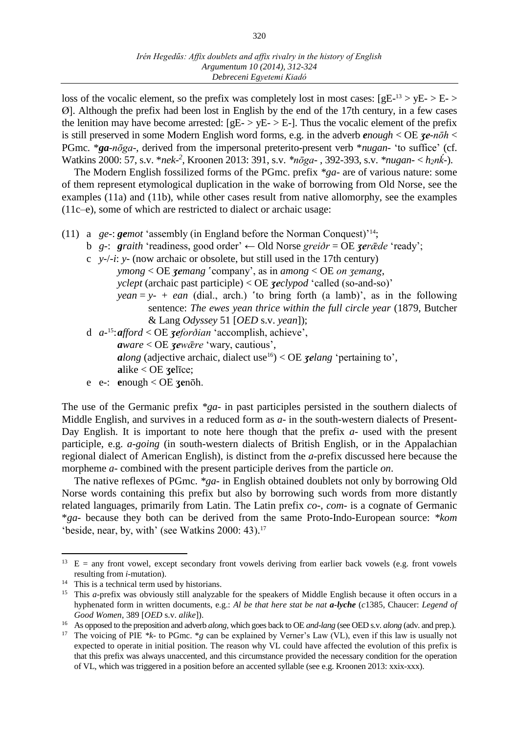320

loss of the vocalic element, so the prefix was completely lost in most cases:  $[gE^{-13} > yE^- > E^- >$ Ø]. Although the prefix had been lost in English by the end of the 17th century, in a few cases the lenition may have become arrested:  $[gE \rightarrow yE \rightarrow E]$ . Thus the vocalic element of the prefix is still preserved in some Modern English word forms, e.g. in the adverb *enough* < OE *ʒe-nōh* < PGmc. \**ga-nōga-*, derived from the impersonal preterito-present verb \**nugan-* 'to suffice' (cf. Watkins 2000: 57, s.v. \**nek-2* , Kroonen 2013: 391, s.v. *\*nōga-* , 392-393, s.v. *\*nugan-* < *h2nḱ-*).

The Modern English fossilized forms of the PGmc. prefix *\*ga-* are of various nature: some of them represent etymological duplication in the wake of borrowing from Old Norse, see the examples (11a) and (11b), while other cases result from native allomorphy, see the examples (11c–e), some of which are restricted to dialect or archaic usage:

- (11) a *ge-*: *gemot* 'assembly (in England before the Norman Conquest)'14;
	- b *g-*: *graith* 'readiness, good order' *←* Old Norse *greiðr* = OE *ʒerǣde* 'ready';
	- c *y-*/*-i*: *y-* (now archaic or obsolete, but still used in the 17th century)
		- *ymong* < OE *ʒemang* ʽcompany', as in *among* < OE *on ʒemang*,
			- *yclept* (archaic past participle) < OE *ʒeclypod* 'called (so-and-so)'
			- *yean* =  $y + e$ *an* (dial., arch.) 'to bring forth (a lamb)', as in the following sentence: *The ewes yean thrice within the full circle year* (1879, Butcher & Lang *Odyssey* 51 [*OED* s.v. *yean*]);
	- d *a-*<sup>15</sup>:*afford* < OE *ʒeforðian* 'accomplish, achieve', *aware* < OE *ʒewǣre* 'wary, cautious', *along* (adjective archaic, dialect use<sup>16</sup>) < OE *zelang* 'pertaining to', **a**like < OE **ʒe**līce;
	- e e-: **e**nough < OE **ʒe**nōh.

The use of the Germanic prefix *\*ga-* in past participles persisted in the southern dialects of Middle English, and survives in a reduced form as *a-* in the south-western dialects of Present-Day English. It is important to note here though that the prefix *a*- used with the present participle, e.g. *a-going* (in south-western dialects of British English, or in the Appalachian regional dialect of American English), is distinct from the *a-*prefix discussed here because the morpheme *a-* combined with the present participle derives from the particle *on*.

The native reflexes of PGmc. *\*ga-* in English obtained doublets not only by borrowing Old Norse words containing this prefix but also by borrowing such words from more distantly related languages, primarily from Latin. The Latin prefix *co-*, *com-* is a cognate of Germanic \**ga-* because they both can be derived from the same Proto-Indo-European source: *\*kom* 'beside, near, by, with' (see Watkins 2000: 43). 17

 $\overline{a}$ 

 $13$  E = any front vowel, except secondary front vowels deriving from earlier back vowels (e.g. front vowels resulting from *i-*mutation).

<sup>&</sup>lt;sup>14</sup> This is a technical term used by historians.

<sup>&</sup>lt;sup>15</sup> This *a*-prefix was obviously still analyzable for the speakers of Middle English because it often occurs in a hyphenated form in written documents, e.g.: *Al be that here stat be nat a-lyche* (*c*1385, Chaucer: *Legend of Good Women*, 389 [*OED* s.v. *alike*]).

<sup>16</sup> As opposed to the preposition and adverb *along*, which goes back to OE *and-lang* (see OED s.v. *along* (adv. and prep.).

<sup>&</sup>lt;sup>17</sup> The voicing of PIE \*k- to PGmc. \*g can be explained by Verner's Law (VL), even if this law is usually not expected to operate in initial position. The reason why VL could have affected the evolution of this prefix is that this prefix was always unaccented, and this circumstance provided the necessary condition for the operation of VL, which was triggered in a position before an accented syllable (see e.g. Kroonen 2013: xxix-xxx).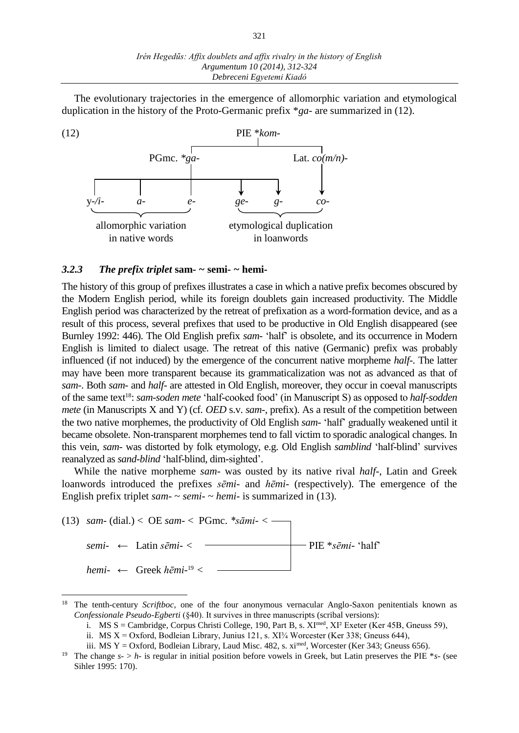The evolutionary trajectories in the emergence of allomorphic variation and etymological duplication in the history of the Proto-Germanic prefix \**ga*- are summarized in (12).



#### *3.2.3 The prefix triplet* **sam***- ~* **semi***- ~* **hemi***-*

 $\overline{a}$ 

The history of this group of prefixes illustrates a case in which a native prefix becomes obscured by the Modern English period, while its foreign doublets gain increased productivity. The Middle English period was characterized by the retreat of prefixation as a word-formation device, and as a result of this process, several prefixes that used to be productive in Old English disappeared (see Burnley 1992: 446). The Old English prefix *sam-* 'half' is obsolete, and its occurrence in Modern English is limited to dialect usage. The retreat of this native (Germanic) prefix was probably influenced (if not induced) by the emergence of the concurrent native morpheme *half-*. The latter may have been more transparent because its grammaticalization was not as advanced as that of *sam-*. Both *sam-* and *half-* are attested in Old English, moreover, they occur in coeval manuscripts of the same text18: *sam-soden mete* 'half-cooked food' (in Manuscript S) as opposed to *half-sodden mete* (in Manuscripts X and Y) (cf. *OED* s.v. *sam-*, prefix). As a result of the competition between the two native morphemes, the productivity of Old English *sam-* 'half' gradually weakened until it became obsolete. Non-transparent morphemes tend to fall victim to sporadic analogical changes. In this vein, *sam-* was distorted by folk etymology, e.g. Old English *samblind* 'half-blind' survives reanalyzed as *sand-blind* 'half-blind, dim-sighted'.

While the native morpheme *sam-* was ousted by its native rival *half-*, Latin and Greek loanwords introduced the prefixes *sēmi*- and *hēmi-* (respectively). The emergence of the English prefix triplet *sam-* ~ *semi-* ~ *hemi-* is summarized in (13).



<sup>18</sup> The tenth-century *Scriftboc*, one of the four anonymous vernacular Anglo-Saxon penitentials known as *Confessionale Pseudo-Egberti* (§40). It survives in three manuscripts (scribal versions):

i. MS S = Cambridge, Corpus Christi College, 190, Part B, s. XI<sup>med</sup>, XI<sup>2</sup> Exeter (Ker 45B, Gneuss 59),

ii. MS  $X = Ox$  ford, Bodleian Library, Junius 121, s.  $XI<sup>3</sup>$  Worcester (Ker 338; Gneuss 644),

iii. MS Y = Oxford, Bodleian Library, Laud Misc. 482, s.  $xi^{med}$ , Worcester (Ker 343; Gneuss 656).

<sup>19</sup> The change *s-* > *h-* is regular in initial position before vowels in Greek, but Latin preserves the PIE \**s-* (see Sihler 1995: 170).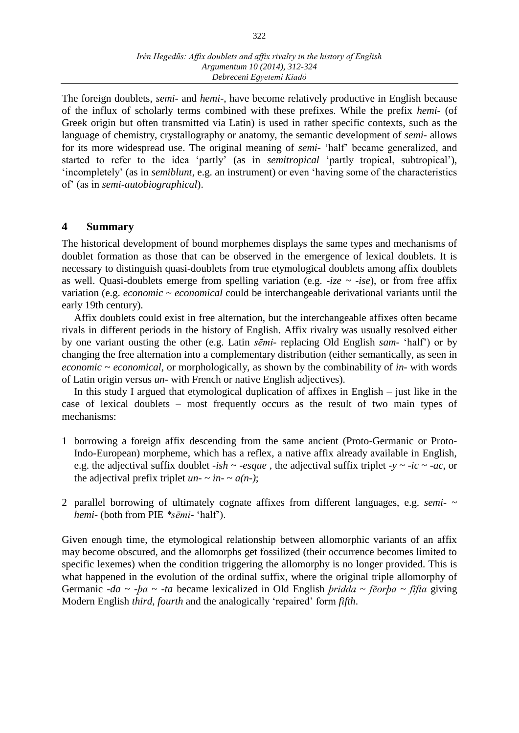The foreign doublets, *semi*- and *hemi-*, have become relatively productive in English because of the influx of scholarly terms combined with these prefixes. While the prefix *hemi-* (of Greek origin but often transmitted via Latin) is used in rather specific contexts, such as the language of chemistry, crystallography or anatomy, the semantic development of *semi-* allows for its more widespread use. The original meaning of *semi-* 'half' became generalized, and started to refer to the idea 'partly' (as in *semitropical* 'partly tropical, subtropical'), 'incompletely' (as in *semiblunt*, e.g. an instrument) or even 'having some of the characteristics of' (as in *semi-autobiographical*).

### **4 Summary**

The historical development of bound morphemes displays the same types and mechanisms of doublet formation as those that can be observed in the emergence of lexical doublets. It is necessary to distinguish quasi-doublets from true etymological doublets among affix doublets as well. Quasi-doublets emerge from spelling variation (e.g. *-ize* ~ *-ise*), or from free affix variation (e.g. *economic* ~ *economical* could be interchangeable derivational variants until the early 19th century).

Affix doublets could exist in free alternation, but the interchangeable affixes often became rivals in different periods in the history of English. Affix rivalry was usually resolved either by one variant ousting the other (e.g. Latin *sēmi-* replacing Old English *sam-* 'half') or by changing the free alternation into a complementary distribution (either semantically, as seen in *economic* ~ *economical*, or morphologically, as shown by the combinability of *in-* with words of Latin origin versus *un-* with French or native English adjectives).

In this study I argued that etymological duplication of affixes in English – just like in the case of lexical doublets – most frequently occurs as the result of two main types of mechanisms:

- 1 borrowing a foreign affix descending from the same ancient (Proto-Germanic or Proto-Indo-European) morpheme, which has a reflex, a native affix already available in English, e.g. the adjectival suffix doublet *-ish ~ -esque*, the adjectival suffix triplet *-y ~ -ic ~ -ac*, or the adjectival prefix triplet  $un - \sim in - \sim a(n-);$
- 2 parallel borrowing of ultimately cognate affixes from different languages, e.g. *semi-* ~ *hemi-* (both from PIE *\*sēmi-* 'half').

Given enough time, the etymological relationship between allomorphic variants of an affix may become obscured, and the allomorphs get fossilized (their occurrence becomes limited to specific lexemes) when the condition triggering the allomorphy is no longer provided. This is what happened in the evolution of the ordinal suffix, where the original triple allomorphy of Germanic -*da* ~ -*þa* ~ -*ta* became lexicalized in Old English *þridda* ~ *fēorþa* ~ *fīfta* giving Modern English *third*, *fourth* and the analogically 'repaired' form *fifth*.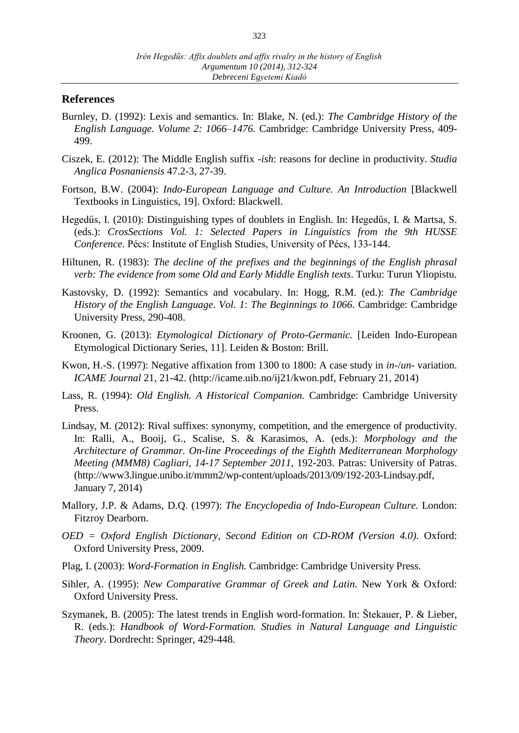### **References**

- Burnley, D. (1992): Lexis and semantics. In: Blake, N. (ed.): *The Cambridge History of the English Language. Volume 2: 1066–1476*. Cambridge: Cambridge University Press, 409- 499.
- Ciszek, E. (2012): The Middle English suffix -*ish*: reasons for decline in productivity. *Studia Anglica Posnaniensis* 47.2-3, 27-39.
- Fortson, B.W. (2004): *Indo-European Language and Culture. An Introduction* [Blackwell Textbooks in Linguistics, 19]. Oxford: Blackwell.
- Hegedűs, I. (2010): Distinguishing types of doublets in English. In: Hegedűs, I. & Martsa, S. (eds.): *CrosSections Vol. 1: Selected Papers in Linguistics from the 9th HUSSE Conference*. Pécs: Institute of English Studies, University of Pécs, 133-144.
- Hiltunen, R. (1983): *The decline of the prefixes and the beginnings of the English phrasal verb: The evidence from some Old and Early Middle English texts*. Turku: Turun Yliopistu.
- Kastovsky, D. (1992): Semantics and vocabulary. In: Hogg, R.M. (ed.): *The Cambridge History of the English Language. Vol. 1*: *The Beginnings to 1066.* Cambridge: Cambridge University Press, 290-408.
- Kroonen, G. (2013): *Etymological Dictionary of Proto-Germanic.* [Leiden Indo-European Etymological Dictionary Series, 11]. Leiden & Boston: Brill.
- Kwon, H.-S. (1997): Negative affixation from 1300 to 1800: A case study in *in-*/*un-* variation. *ICAME Journal* 21, 21-42. (http://icame.uib.no/ij21/kwon.pdf, February 21, 2014)
- Lass, R. (1994): *Old English. A Historical Companion.* Cambridge: Cambridge University Press.
- Lindsay, M. (2012): Rival suffixes: synonymy, competition, and the emergence of productivity. In: Ralli, A., Booij, G., Scalise, S. & Karasimos, A. (eds.): *Morphology and the Architecture of Grammar. [On-line Proceedings of the Eighth Mediterranean Morphology](http://www3.lingue.unibo.it/mmm2/?page_id=456)  Meeting (MMM8) Cagliari, [14-17 September 2011](http://www3.lingue.unibo.it/mmm2/?page_id=456)*, 192-203. Patras: University of Patras. (http://www3.lingue.unibo.it/mmm2/wp-content/uploads/2013/09/192-203-Lindsay.pdf, January 7, 2014)
- Mallory, J.P. & Adams, D.Q. (1997): *The Encyclopedia of Indo-European Culture.* London: Fitzroy Dearborn.
- *OED = Oxford English Dictionary, Second Edition on CD-ROM (Version 4.0)*. Oxford: Oxford University Press, 2009.
- Plag, I. (2003): *Word-Formation in English.* Cambridge: Cambridge University Press.
- Sihler, A. (1995): *New Comparative Grammar of Greek and Latin.* New York & Oxford: Oxford University Press.
- Szymanek, B. (2005): The latest trends in English word-formation. In: Štekauer, P. & Lieber, R. (eds.): *Handbook of Word-Formation. Studies in Natural Language and Linguistic Theory*. Dordrecht: Springer, 429-448.